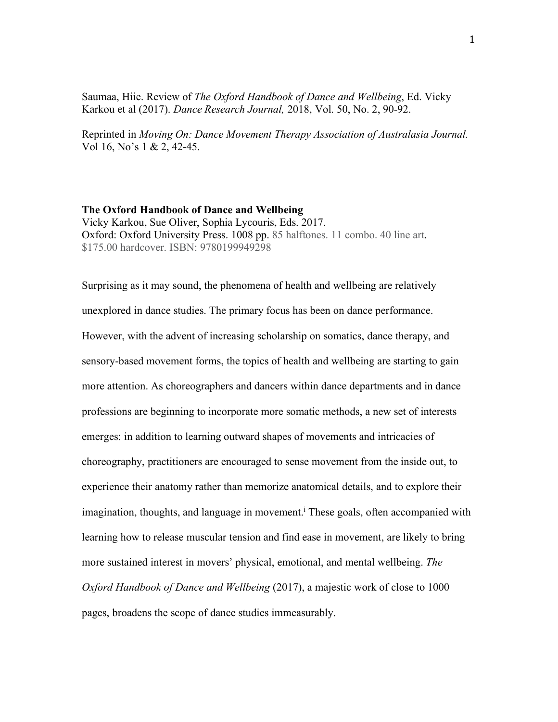Saumaa, Hiie. Review of *The Oxford Handbook of Dance and Wellbeing*, Ed. Vicky Karkou et al (2017). *Dance Research Journal,* 2018, Vol. 50, No. 2, 90-92.

Reprinted in *Moving On: Dance Movement Therapy Association of Australasia Journal.*  Vol 16, No's 1 & 2, 42-45.

## **The Oxford Handbook of Dance and Wellbeing**

Vicky Karkou, Sue Oliver, Sophia Lycouris, Eds. 2017. Oxford: Oxford University Press. 1008 pp. 85 halftones. 11 combo. 40 line art. \$175.00 hardcover. ISBN: 9780199949298

Surprising as it may sound, the phenomena of health and wellbeing are relatively unexplored in dance studies. The primary focus has been on dance performance. However, with the advent of increasing scholarship on somatics, dance therapy, and sensory-based movement forms, the topics of health and wellbeing are starting to gain more attention. As choreographers and dancers within dance departments and in dance professions are beginning to incorporate more somatic methods, a new set of interests emerges: in addition to learning outward shapes of movements and intricacies of choreography, practitioners are encouraged to sense movement from the inside out, to experience their anatomy rather than memorize anatomical details, and to explore their imagination, thoughts, and language in movement.<sup>i</sup> These goals, often accompanied with learning how to release muscular tension and find ease in movement, are likely to bring more sustained interest in movers' physical, emotional, and mental wellbeing. *The Oxford Handbook of Dance and Wellbeing* (2017), a majestic work of close to 1000 pages, broadens the scope of dance studies immeasurably.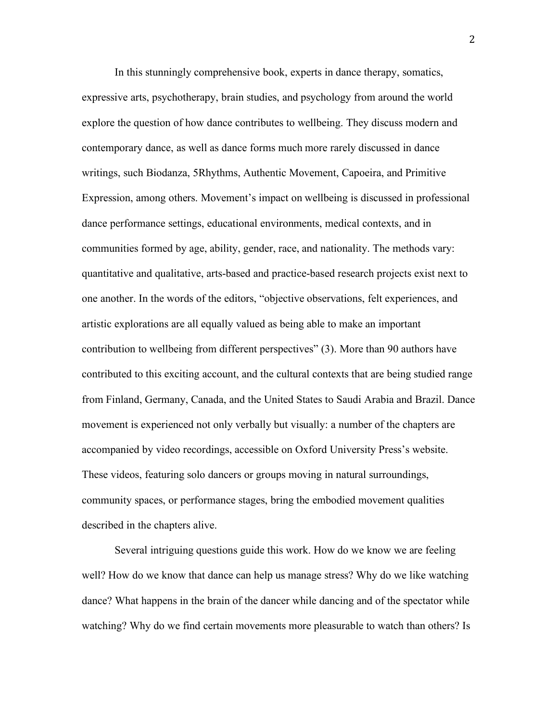In this stunningly comprehensive book, experts in dance therapy, somatics, expressive arts, psychotherapy, brain studies, and psychology from around the world explore the question of how dance contributes to wellbeing. They discuss modern and contemporary dance, as well as dance forms much more rarely discussed in dance writings, such Biodanza, 5Rhythms, Authentic Movement, Capoeira, and Primitive Expression, among others. Movement's impact on wellbeing is discussed in professional dance performance settings, educational environments, medical contexts, and in communities formed by age, ability, gender, race, and nationality. The methods vary: quantitative and qualitative, arts-based and practice-based research projects exist next to one another. In the words of the editors, "objective observations, felt experiences, and artistic explorations are all equally valued as being able to make an important contribution to wellbeing from different perspectives" (3). More than 90 authors have contributed to this exciting account, and the cultural contexts that are being studied range from Finland, Germany, Canada, and the United States to Saudi Arabia and Brazil. Dance movement is experienced not only verbally but visually: a number of the chapters are accompanied by video recordings, accessible on Oxford University Press's website. These videos, featuring solo dancers or groups moving in natural surroundings, community spaces, or performance stages, bring the embodied movement qualities described in the chapters alive.

Several intriguing questions guide this work. How do we know we are feeling well? How do we know that dance can help us manage stress? Why do we like watching dance? What happens in the brain of the dancer while dancing and of the spectator while watching? Why do we find certain movements more pleasurable to watch than others? Is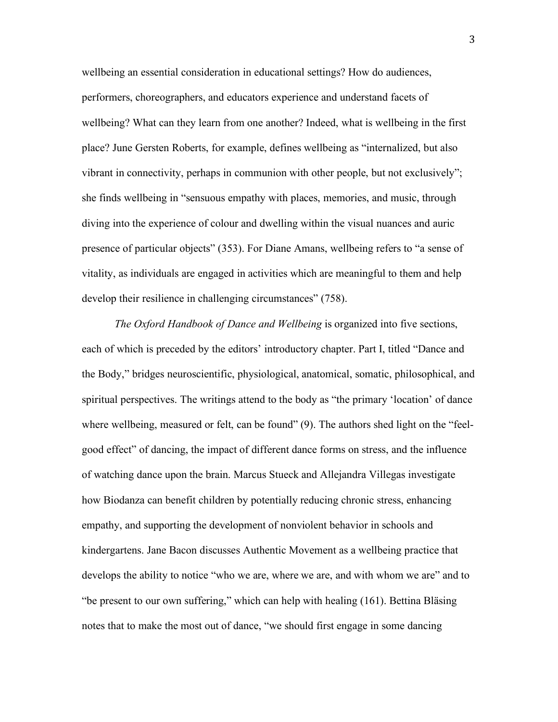wellbeing an essential consideration in educational settings? How do audiences, performers, choreographers, and educators experience and understand facets of wellbeing? What can they learn from one another? Indeed, what is wellbeing in the first place? June Gersten Roberts, for example, defines wellbeing as "internalized, but also vibrant in connectivity, perhaps in communion with other people, but not exclusively"; she finds wellbeing in "sensuous empathy with places, memories, and music, through diving into the experience of colour and dwelling within the visual nuances and auric presence of particular objects" (353). For Diane Amans, wellbeing refers to "a sense of vitality, as individuals are engaged in activities which are meaningful to them and help develop their resilience in challenging circumstances" (758).

*The Oxford Handbook of Dance and Wellbeing* is organized into five sections, each of which is preceded by the editors' introductory chapter. Part I, titled "Dance and the Body," bridges neuroscientific, physiological, anatomical, somatic, philosophical, and spiritual perspectives. The writings attend to the body as "the primary 'location' of dance where wellbeing, measured or felt, can be found" (9). The authors shed light on the "feelgood effect" of dancing, the impact of different dance forms on stress, and the influence of watching dance upon the brain. Marcus Stueck and Allejandra Villegas investigate how Biodanza can benefit children by potentially reducing chronic stress, enhancing empathy, and supporting the development of nonviolent behavior in schools and kindergartens. Jane Bacon discusses Authentic Movement as a wellbeing practice that develops the ability to notice "who we are, where we are, and with whom we are" and to "be present to our own suffering," which can help with healing (161). Bettina Bläsing notes that to make the most out of dance, "we should first engage in some dancing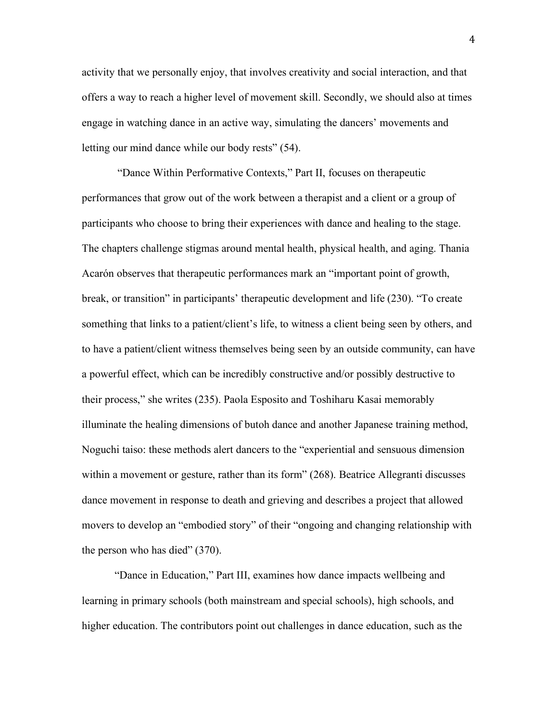activity that we personally enjoy, that involves creativity and social interaction, and that offers a way to reach a higher level of movement skill. Secondly, we should also at times engage in watching dance in an active way, simulating the dancers' movements and letting our mind dance while our body rests" (54).

"Dance Within Performative Contexts," Part II, focuses on therapeutic performances that grow out of the work between a therapist and a client or a group of participants who choose to bring their experiences with dance and healing to the stage. The chapters challenge stigmas around mental health, physical health, and aging. Thania Acarón observes that therapeutic performances mark an "important point of growth, break, or transition" in participants' therapeutic development and life (230). "To create something that links to a patient/client's life, to witness a client being seen by others, and to have a patient/client witness themselves being seen by an outside community, can have a powerful effect, which can be incredibly constructive and/or possibly destructive to their process," she writes (235). Paola Esposito and Toshiharu Kasai memorably illuminate the healing dimensions of butoh dance and another Japanese training method, Noguchi taiso: these methods alert dancers to the "experiential and sensuous dimension within a movement or gesture, rather than its form" (268). Beatrice Allegranti discusses dance movement in response to death and grieving and describes a project that allowed movers to develop an "embodied story" of their "ongoing and changing relationship with the person who has died" (370).

"Dance in Education," Part III, examines how dance impacts wellbeing and learning in primary schools (both mainstream and special schools), high schools, and higher education. The contributors point out challenges in dance education, such as the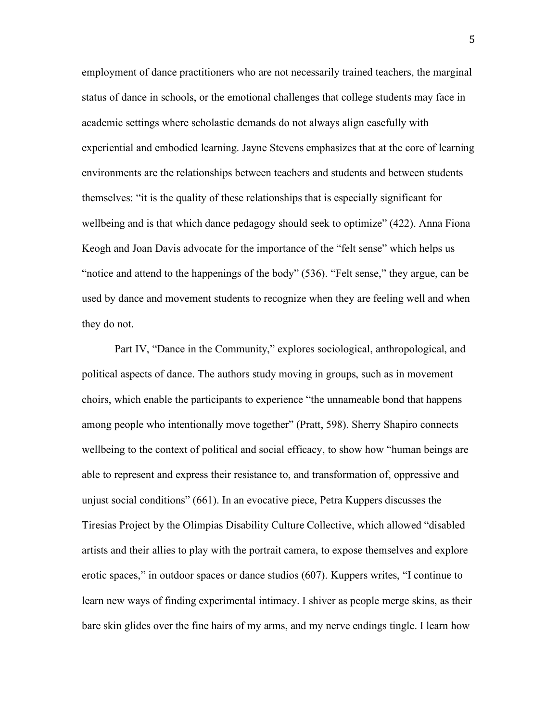employment of dance practitioners who are not necessarily trained teachers, the marginal status of dance in schools, or the emotional challenges that college students may face in academic settings where scholastic demands do not always align easefully with experiential and embodied learning. Jayne Stevens emphasizes that at the core of learning environments are the relationships between teachers and students and between students themselves: "it is the quality of these relationships that is especially significant for wellbeing and is that which dance pedagogy should seek to optimize" (422). Anna Fiona Keogh and Joan Davis advocate for the importance of the "felt sense" which helps us "notice and attend to the happenings of the body" (536). "Felt sense," they argue, can be used by dance and movement students to recognize when they are feeling well and when they do not.

Part IV, "Dance in the Community," explores sociological, anthropological, and political aspects of dance. The authors study moving in groups, such as in movement choirs, which enable the participants to experience "the unnameable bond that happens among people who intentionally move together" (Pratt, 598). Sherry Shapiro connects wellbeing to the context of political and social efficacy, to show how "human beings are able to represent and express their resistance to, and transformation of, oppressive and unjust social conditions" (661). In an evocative piece, Petra Kuppers discusses the Tiresias Project by the Olimpias Disability Culture Collective, which allowed "disabled artists and their allies to play with the portrait camera, to expose themselves and explore erotic spaces," in outdoor spaces or dance studios (607). Kuppers writes, "I continue to learn new ways of finding experimental intimacy. I shiver as people merge skins, as their bare skin glides over the fine hairs of my arms, and my nerve endings tingle. I learn how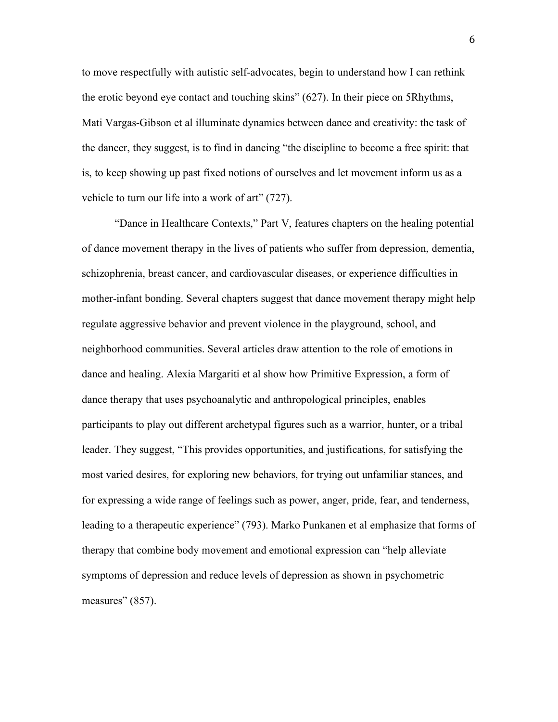to move respectfully with autistic self-advocates, begin to understand how I can rethink the erotic beyond eye contact and touching skins" (627). In their piece on 5Rhythms, Mati Vargas-Gibson et al illuminate dynamics between dance and creativity: the task of the dancer, they suggest, is to find in dancing "the discipline to become a free spirit: that is, to keep showing up past fixed notions of ourselves and let movement inform us as a vehicle to turn our life into a work of art" (727).

"Dance in Healthcare Contexts," Part V, features chapters on the healing potential of dance movement therapy in the lives of patients who suffer from depression, dementia, schizophrenia, breast cancer, and cardiovascular diseases, or experience difficulties in mother-infant bonding. Several chapters suggest that dance movement therapy might help regulate aggressive behavior and prevent violence in the playground, school, and neighborhood communities. Several articles draw attention to the role of emotions in dance and healing. Alexia Margariti et al show how Primitive Expression, a form of dance therapy that uses psychoanalytic and anthropological principles, enables participants to play out different archetypal figures such as a warrior, hunter, or a tribal leader. They suggest, "This provides opportunities, and justifications, for satisfying the most varied desires, for exploring new behaviors, for trying out unfamiliar stances, and for expressing a wide range of feelings such as power, anger, pride, fear, and tenderness, leading to a therapeutic experience" (793). Marko Punkanen et al emphasize that forms of therapy that combine body movement and emotional expression can "help alleviate symptoms of depression and reduce levels of depression as shown in psychometric measures" (857).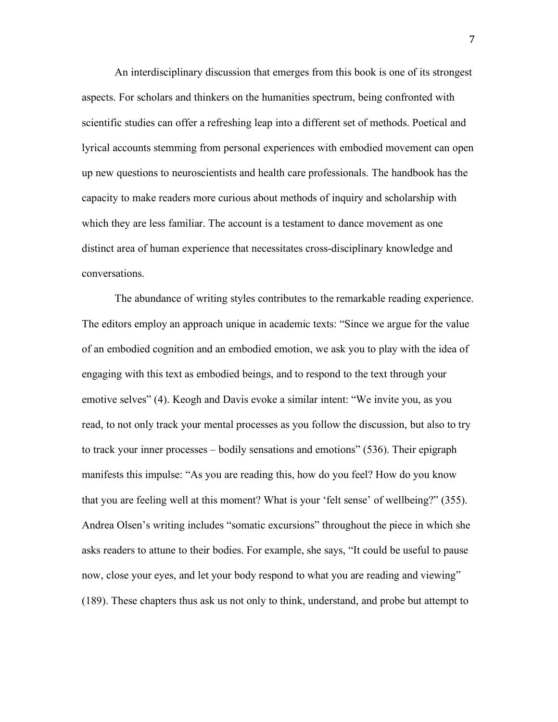An interdisciplinary discussion that emerges from this book is one of its strongest aspects. For scholars and thinkers on the humanities spectrum, being confronted with scientific studies can offer a refreshing leap into a different set of methods. Poetical and lyrical accounts stemming from personal experiences with embodied movement can open up new questions to neuroscientists and health care professionals. The handbook has the capacity to make readers more curious about methods of inquiry and scholarship with which they are less familiar. The account is a testament to dance movement as one distinct area of human experience that necessitates cross-disciplinary knowledge and conversations.

The abundance of writing styles contributes to the remarkable reading experience. The editors employ an approach unique in academic texts: "Since we argue for the value of an embodied cognition and an embodied emotion, we ask you to play with the idea of engaging with this text as embodied beings, and to respond to the text through your emotive selves" (4). Keogh and Davis evoke a similar intent: "We invite you, as you read, to not only track your mental processes as you follow the discussion, but also to try to track your inner processes – bodily sensations and emotions" (536). Their epigraph manifests this impulse: "As you are reading this, how do you feel? How do you know that you are feeling well at this moment? What is your 'felt sense' of wellbeing?" (355). Andrea Olsen's writing includes "somatic excursions" throughout the piece in which she asks readers to attune to their bodies. For example, she says, "It could be useful to pause now, close your eyes, and let your body respond to what you are reading and viewing" (189). These chapters thus ask us not only to think, understand, and probe but attempt to